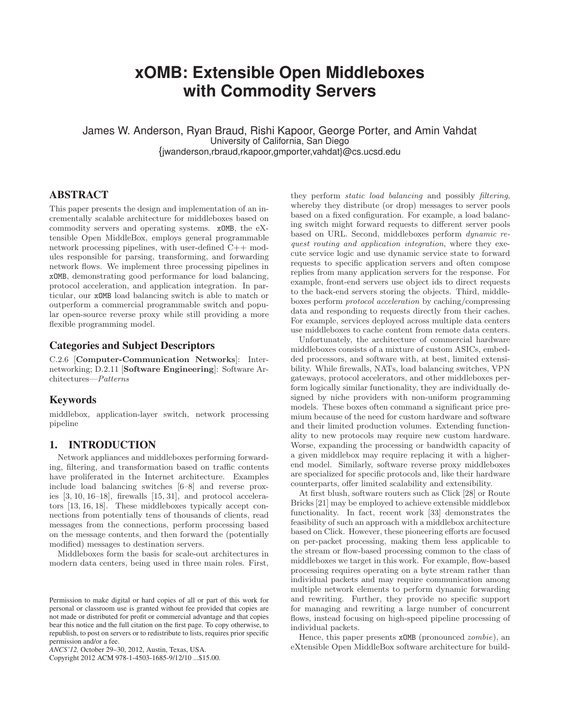# **xOMB: Extensible Open Middleboxes with Commodity Servers**

James W. Anderson, Ryan Braud, Rishi Kapoor, George Porter, and Amin Vahdat University of California, San Diego {jwanderson,rbraud,rkapoor,gmporter,vahdat}@cs.ucsd.edu

# ABSTRACT

This paper presents the design and implementation of an incrementally scalable architecture for middleboxes based on commodity servers and operating systems. xOMB, the eXtensible Open MiddleBox, employs general programmable network processing pipelines, with user-defined C++ modules responsible for parsing, transforming, and forwarding network flows. We implement three processing pipelines in xOMB, demonstrating good performance for load balancing, protocol acceleration, and application integration. In particular, our xOMB load balancing switch is able to match or outperform a commercial programmable switch and popular open-source reverse proxy while still providing a more flexible programming model.

# Categories and Subject Descriptors

C.2.6 [Computer-Communication Networks]: Internetworking; D.2.11 [Software Engineering]: Software Architectures—Patterns

## **Keywords**

middlebox, application-layer switch, network processing pipeline

# 1. INTRODUCTION

Network appliances and middleboxes performing forwarding, filtering, and transformation based on traffic contents have proliferated in the Internet architecture. Examples include load balancing switches [6–8] and reverse proxies [3, 10, 16–18], firewalls [15, 31], and protocol accelerators [13, 16, 18]. These middleboxes typically accept connections from potentially tens of thousands of clients, read messages from the connections, perform processing based on the message contents, and then forward the (potentially modified) messages to destination servers.

Middleboxes form the basis for scale-out architectures in modern data centers, being used in three main roles. First,

Copyright 2012 ACM 978-1-4503-1685-9/12/10 ...\$15.00.

they perform static load balancing and possibly filtering, whereby they distribute (or drop) messages to server pools based on a fixed configuration. For example, a load balancing switch might forward requests to different server pools based on URL. Second, middleboxes perform dynamic request routing and application integration, where they execute service logic and use dynamic service state to forward requests to specific application servers and often compose replies from many application servers for the response. For example, front-end servers use object ids to direct requests to the back-end servers storing the objects. Third, middleboxes perform protocol acceleration by caching/compressing data and responding to requests directly from their caches. For example, services deployed across multiple data centers use middleboxes to cache content from remote data centers.

Unfortunately, the architecture of commercial hardware middleboxes consists of a mixture of custom ASICs, embedded processors, and software with, at best, limited extensibility. While firewalls, NATs, load balancing switches, VPN gateways, protocol accelerators, and other middleboxes perform logically similar functionality, they are individually designed by niche providers with non-uniform programming models. These boxes often command a significant price premium because of the need for custom hardware and software and their limited production volumes. Extending functionality to new protocols may require new custom hardware. Worse, expanding the processing or bandwidth capacity of a given middlebox may require replacing it with a higherend model. Similarly, software reverse proxy middleboxes are specialized for specific protocols and, like their hardware counterparts, offer limited scalability and extensibility.

At first blush, software routers such as Click [28] or Route Bricks [21] may be employed to achieve extensible middlebox functionality. In fact, recent work [33] demonstrates the feasibility of such an approach with a middlebox architecture based on Click. However, these pioneering efforts are focused on per-packet processing, making them less applicable to the stream or flow-based processing common to the class of middleboxes we target in this work. For example, flow-based processing requires operating on a byte stream rather than individual packets and may require communication among multiple network elements to perform dynamic forwarding and rewriting. Further, they provide no specific support for managing and rewriting a large number of concurrent flows, instead focusing on high-speed pipeline processing of individual packets.

Hence, this paper presents xOMB (pronounced zombie), an eXtensible Open MiddleBox software architecture for build-

Permission to make digital or hard copies of all or part of this work for personal or classroom use is granted without fee provided that copies are not made or distributed for profit or commercial advantage and that copies bear this notice and the full citation on the first page. To copy otherwise, to republish, to post on servers or to redistribute to lists, requires prior specific permission and/or a fee.

*ANCS'12,* October 29–30, 2012, Austin, Texas, USA.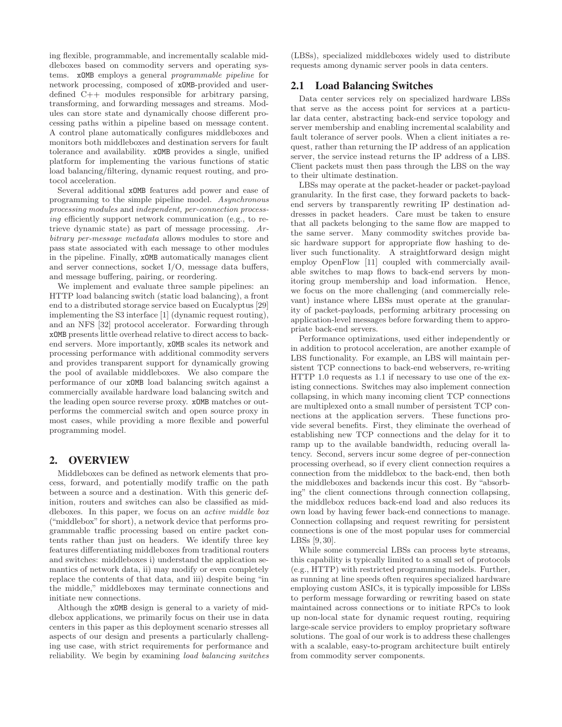ing flexible, programmable, and incrementally scalable middleboxes based on commodity servers and operating systems. xOMB employs a general programmable pipeline for network processing, composed of xOMB-provided and userdefined C++ modules responsible for arbitrary parsing, transforming, and forwarding messages and streams. Modules can store state and dynamically choose different processing paths within a pipeline based on message content. A control plane automatically configures middleboxes and monitors both middleboxes and destination servers for fault tolerance and availability. xOMB provides a single, unified platform for implementing the various functions of static load balancing/filtering, dynamic request routing, and protocol acceleration.

Several additional xOMB features add power and ease of programming to the simple pipeline model. Asynchronous processing modules and independent, per-connection processing efficiently support network communication (e.g., to retrieve dynamic state) as part of message processing. Arbitrary per-message metadata allows modules to store and pass state associated with each message to other modules in the pipeline. Finally, xOMB automatically manages client and server connections, socket I/O, message data buffers, and message buffering, pairing, or reordering.

We implement and evaluate three sample pipelines: an HTTP load balancing switch (static load balancing), a front end to a distributed storage service based on Eucalyptus [29] implementing the S3 interface [1] (dynamic request routing), and an NFS [32] protocol accelerator. Forwarding through xOMB presents little overhead relative to direct access to backend servers. More importantly, xOMB scales its network and processing performance with additional commodity servers and provides transparent support for dynamically growing the pool of available middleboxes. We also compare the performance of our xOMB load balancing switch against a commercially available hardware load balancing switch and the leading open source reverse proxy. xOMB matches or outperforms the commercial switch and open source proxy in most cases, while providing a more flexible and powerful programming model.

# 2. OVERVIEW

Middleboxes can be defined as network elements that process, forward, and potentially modify traffic on the path between a source and a destination. With this generic definition, routers and switches can also be classified as middleboxes. In this paper, we focus on an active middle box ("middlebox" for short), a network device that performs programmable traffic processing based on entire packet contents rather than just on headers. We identify three key features differentiating middleboxes from traditional routers and switches: middleboxes i) understand the application semantics of network data, ii) may modify or even completely replace the contents of that data, and iii) despite being "in the middle," middleboxes may terminate connections and initiate new connections.

Although the xOMB design is general to a variety of middlebox applications, we primarily focus on their use in data centers in this paper as this deployment scenario stresses all aspects of our design and presents a particularly challenging use case, with strict requirements for performance and reliability. We begin by examining load balancing switches (LBSs), specialized middleboxes widely used to distribute requests among dynamic server pools in data centers.

# 2.1 Load Balancing Switches

Data center services rely on specialized hardware LBSs that serve as the access point for services at a particular data center, abstracting back-end service topology and server membership and enabling incremental scalability and fault tolerance of server pools. When a client initiates a request, rather than returning the IP address of an application server, the service instead returns the IP address of a LBS. Client packets must then pass through the LBS on the way to their ultimate destination.

LBSs may operate at the packet-header or packet-payload granularity. In the first case, they forward packets to backend servers by transparently rewriting IP destination addresses in packet headers. Care must be taken to ensure that all packets belonging to the same flow are mapped to the same server. Many commodity switches provide basic hardware support for appropriate flow hashing to deliver such functionality. A straightforward design might employ OpenFlow [11] coupled with commercially available switches to map flows to back-end servers by monitoring group membership and load information. Hence, we focus on the more challenging (and commercially relevant) instance where LBSs must operate at the granularity of packet-payloads, performing arbitrary processing on application-level messages before forwarding them to appropriate back-end servers.

Performance optimizations, used either independently or in addition to protocol acceleration, are another example of LBS functionality. For example, an LBS will maintain persistent TCP connections to back-end webservers, re-writing HTTP 1.0 requests as 1.1 if necessary to use one of the existing connections. Switches may also implement connection collapsing, in which many incoming client TCP connections are multiplexed onto a small number of persistent TCP connections at the application servers. These functions provide several benefits. First, they eliminate the overhead of establishing new TCP connections and the delay for it to ramp up to the available bandwidth, reducing overall latency. Second, servers incur some degree of per-connection processing overhead, so if every client connection requires a connection from the middlebox to the back-end, then both the middleboxes and backends incur this cost. By "absorbing" the client connections through connection collapsing, the middlebox reduces back-end load and also reduces its own load by having fewer back-end connections to manage. Connection collapsing and request rewriting for persistent connections is one of the most popular uses for commercial LBSs [9, 30].

While some commercial LBSs can process byte streams, this capability is typically limited to a small set of protocols (e.g., HTTP) with restricted programming models. Further, as running at line speeds often requires specialized hardware employing custom ASICs, it is typically impossible for LBSs to perform message forwarding or rewriting based on state maintained across connections or to initiate RPCs to look up non-local state for dynamic request routing, requiring large-scale service providers to employ proprietary software solutions. The goal of our work is to address these challenges with a scalable, easy-to-program architecture built entirely from commodity server components.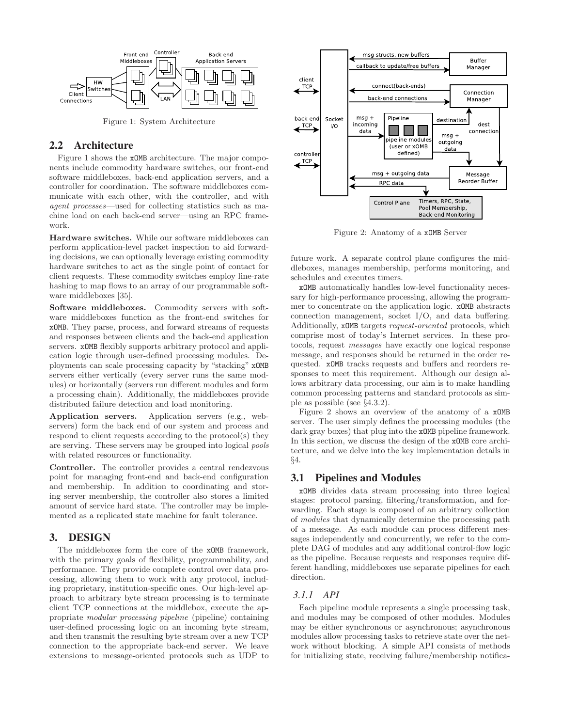

Figure 1: System Architecture

## 2.2 Architecture

Figure 1 shows the xOMB architecture. The major components include commodity hardware switches, our front-end software middleboxes, back-end application servers, and a controller for coordination. The software middleboxes communicate with each other, with the controller, and with agent processes—used for collecting statistics such as machine load on each back-end server—using an RPC framework.

Hardware switches. While our software middleboxes can perform application-level packet inspection to aid forwarding decisions, we can optionally leverage existing commodity hardware switches to act as the single point of contact for client requests. These commodity switches employ line-rate hashing to map flows to an array of our programmable software middleboxes [35].

Software middleboxes. Commodity servers with software middleboxes function as the front-end switches for xOMB. They parse, process, and forward streams of requests and responses between clients and the back-end application servers. xOMB flexibly supports arbitrary protocol and application logic through user-defined processing modules. Deployments can scale processing capacity by "stacking" xOMB servers either vertically (every server runs the same modules) or horizontally (servers run different modules and form a processing chain). Additionally, the middleboxes provide distributed failure detection and load monitoring.

Application servers. Application servers (e.g., webservers) form the back end of our system and process and respond to client requests according to the protocol(s) they are serving. These servers may be grouped into logical pools with related resources or functionality.

Controller. The controller provides a central rendezvous point for managing front-end and back-end configuration and membership. In addition to coordinating and storing server membership, the controller also stores a limited amount of service hard state. The controller may be implemented as a replicated state machine for fault tolerance.

# 3. DESIGN

The middleboxes form the core of the xOMB framework, with the primary goals of flexibility, programmability, and performance. They provide complete control over data processing, allowing them to work with any protocol, including proprietary, institution-specific ones. Our high-level approach to arbitrary byte stream processing is to terminate client TCP connections at the middlebox, execute the appropriate modular processing pipeline (pipeline) containing user-defined processing logic on an incoming byte stream, and then transmit the resulting byte stream over a new TCP connection to the appropriate back-end server. We leave extensions to message-oriented protocols such as UDP to



Figure 2: Anatomy of a xOMB Server

future work. A separate control plane configures the middleboxes, manages membership, performs monitoring, and schedules and executes timers.

xOMB automatically handles low-level functionality necessary for high-performance processing, allowing the programmer to concentrate on the application logic. xOMB abstracts connection management, socket I/O, and data buffering. Additionally, xOMB targets request-oriented protocols, which comprise most of today's Internet services. In these protocols, request messages have exactly one logical response message, and responses should be returned in the order requested. xOMB tracks requests and buffers and reorders responses to meet this requirement. Although our design allows arbitrary data processing, our aim is to make handling common processing patterns and standard protocols as simple as possible (see §4.3.2).

Figure 2 shows an overview of the anatomy of a xOMB server. The user simply defines the processing modules (the dark gray boxes) that plug into the **xOMB** pipeline framework. In this section, we discuss the design of the xOMB core architecture, and we delve into the key implementation details in §4.

# 3.1 Pipelines and Modules

xOMB divides data stream processing into three logical stages: protocol parsing, filtering/transformation, and forwarding. Each stage is composed of an arbitrary collection of modules that dynamically determine the processing path of a message. As each module can process different messages independently and concurrently, we refer to the complete DAG of modules and any additional control-flow logic as the pipeline. Because requests and responses require different handling, middleboxes use separate pipelines for each direction.

#### *3.1.1 API*

Each pipeline module represents a single processing task, and modules may be composed of other modules. Modules may be either synchronous or asynchronous; asynchronous modules allow processing tasks to retrieve state over the network without blocking. A simple API consists of methods for initializing state, receiving failure/membership notifica-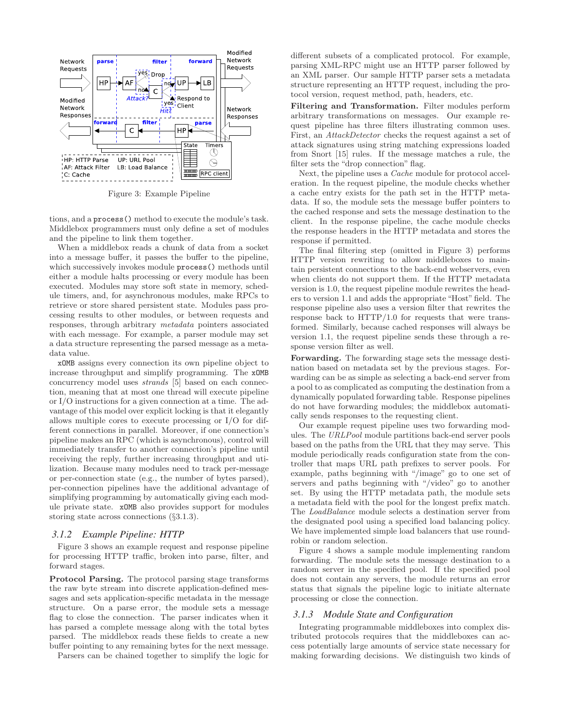

Figure 3: Example Pipeline

tions, and a process() method to execute the module's task. Middlebox programmers must only define a set of modules and the pipeline to link them together.

When a middlebox reads a chunk of data from a socket into a message buffer, it passes the buffer to the pipeline, which successively invokes module process() methods until either a module halts processing or every module has been executed. Modules may store soft state in memory, schedule timers, and, for asynchronous modules, make RPCs to retrieve or store shared persistent state. Modules pass processing results to other modules, or between requests and responses, through arbitrary metadata pointers associated with each message. For example, a parser module may set a data structure representing the parsed message as a metadata value.

xOMB assigns every connection its own pipeline object to increase throughput and simplify programming. The xOMB concurrency model uses strands [5] based on each connection, meaning that at most one thread will execute pipeline or I/O instructions for a given connection at a time. The advantage of this model over explicit locking is that it elegantly allows multiple cores to execute processing or I/O for different connections in parallel. Moreover, if one connection's pipeline makes an RPC (which is asynchronous), control will immediately transfer to another connection's pipeline until receiving the reply, further increasing throughput and utilization. Because many modules need to track per-message or per-connection state (e.g., the number of bytes parsed), per-connection pipelines have the additional advantage of simplifying programming by automatically giving each module private state. xOMB also provides support for modules storing state across connections (§3.1.3).

#### *3.1.2 Example Pipeline: HTTP*

Figure 3 shows an example request and response pipeline for processing HTTP traffic, broken into parse, filter, and forward stages.

Protocol Parsing. The protocol parsing stage transforms the raw byte stream into discrete application-defined messages and sets application-specific metadata in the message structure. On a parse error, the module sets a message flag to close the connection. The parser indicates when it has parsed a complete message along with the total bytes parsed. The middlebox reads these fields to create a new buffer pointing to any remaining bytes for the next message.

Parsers can be chained together to simplify the logic for

different subsets of a complicated protocol. For example, parsing XML-RPC might use an HTTP parser followed by an XML parser. Our sample HTTP parser sets a metadata structure representing an HTTP request, including the protocol version, request method, path, headers, etc.

Filtering and Transformation. Filter modules perform arbitrary transformations on messages. Our example request pipeline has three filters illustrating common uses. First, an AttackDetector checks the request against a set of attack signatures using string matching expressions loaded from Snort [15] rules. If the message matches a rule, the filter sets the "drop connection" flag.

Next, the pipeline uses a *Cache* module for protocol acceleration. In the request pipeline, the module checks whether a cache entry exists for the path set in the HTTP metadata. If so, the module sets the message buffer pointers to the cached response and sets the message destination to the client. In the response pipeline, the cache module checks the response headers in the HTTP metadata and stores the response if permitted.

The final filtering step (omitted in Figure 3) performs HTTP version rewriting to allow middleboxes to maintain persistent connections to the back-end webservers, even when clients do not support them. If the HTTP metadata version is 1.0, the request pipeline module rewrites the headers to version 1.1 and adds the appropriate "Host" field. The response pipeline also uses a version filter that rewrites the response back to HTTP/1.0 for requests that were transformed. Similarly, because cached responses will always be version 1.1, the request pipeline sends these through a response version filter as well.

Forwarding. The forwarding stage sets the message destination based on metadata set by the previous stages. Forwarding can be as simple as selecting a back-end server from a pool to as complicated as computing the destination from a dynamically populated forwarding table. Response pipelines do not have forwarding modules; the middlebox automatically sends responses to the requesting client.

Our example request pipeline uses two forwarding modules. The URLPool module partitions back-end server pools based on the paths from the URL that they may serve. This module periodically reads configuration state from the controller that maps URL path prefixes to server pools. For example, paths beginning with "/image" go to one set of servers and paths beginning with "/video" go to another set. By using the HTTP metadata path, the module sets a metadata field with the pool for the longest prefix match. The LoadBalance module selects a destination server from the designated pool using a specified load balancing policy. We have implemented simple load balancers that use roundrobin or random selection.

Figure 4 shows a sample module implementing random forwarding. The module sets the message destination to a random server in the specified pool. If the specified pool does not contain any servers, the module returns an error status that signals the pipeline logic to initiate alternate processing or close the connection.

#### *3.1.3 Module State and Configuration*

Integrating programmable middleboxes into complex distributed protocols requires that the middleboxes can access potentially large amounts of service state necessary for making forwarding decisions. We distinguish two kinds of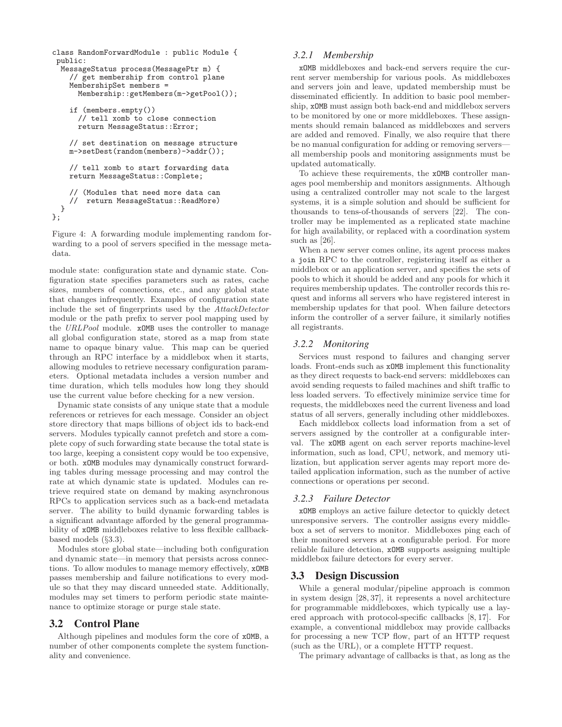```
class RandomForwardModule : public Module {
 public:
  MessageStatus process(MessagePtr m) {
    // get membership from control plane
    MembershipSet members =
      Membership::getMembers(m->getPool());
    if (members.empty())
      // tell xomb to close connection
      return MessageStatus::Error;
    // set destination on message structure
    m->setDest(random(members)->addr());
    // tell xomb to start forwarding data
    return MessageStatus::Complete;
    // (Modules that need more data can
    // return MessageStatus::ReadMore)
  }
};
```
Figure 4: A forwarding module implementing random forwarding to a pool of servers specified in the message metadata.

module state: configuration state and dynamic state. Configuration state specifies parameters such as rates, cache sizes, numbers of connections, etc., and any global state that changes infrequently. Examples of configuration state include the set of fingerprints used by the AttackDetector module or the path prefix to server pool mapping used by the URLPool module. xOMB uses the controller to manage all global configuration state, stored as a map from state name to opaque binary value. This map can be queried through an RPC interface by a middlebox when it starts, allowing modules to retrieve necessary configuration parameters. Optional metadata includes a version number and time duration, which tells modules how long they should use the current value before checking for a new version.

Dynamic state consists of any unique state that a module references or retrieves for each message. Consider an object store directory that maps billions of object ids to back-end servers. Modules typically cannot prefetch and store a complete copy of such forwarding state because the total state is too large, keeping a consistent copy would be too expensive, or both. xOMB modules may dynamically construct forwarding tables during message processing and may control the rate at which dynamic state is updated. Modules can retrieve required state on demand by making asynchronous RPCs to application services such as a back-end metadata server. The ability to build dynamic forwarding tables is a significant advantage afforded by the general programmability of xOMB middleboxes relative to less flexible callbackbased models (§3.3).

Modules store global state—including both configuration and dynamic state—in memory that persists across connections. To allow modules to manage memory effectively, xOMB passes membership and failure notifications to every module so that they may discard unneeded state. Additionally, modules may set timers to perform periodic state maintenance to optimize storage or purge stale state.

# 3.2 Control Plane

Although pipelines and modules form the core of xOMB, a number of other components complete the system functionality and convenience.

#### *3.2.1 Membership*

xOMB middleboxes and back-end servers require the current server membership for various pools. As middleboxes and servers join and leave, updated membership must be disseminated efficiently. In addition to basic pool membership, xOMB must assign both back-end and middlebox servers to be monitored by one or more middleboxes. These assignments should remain balanced as middleboxes and servers are added and removed. Finally, we also require that there be no manual configuration for adding or removing servers all membership pools and monitoring assignments must be updated automatically.

To achieve these requirements, the xOMB controller manages pool membership and monitors assignments. Although using a centralized controller may not scale to the largest systems, it is a simple solution and should be sufficient for thousands to tens-of-thousands of servers [22]. The controller may be implemented as a replicated state machine for high availability, or replaced with a coordination system such as [26].

When a new server comes online, its agent process makes a join RPC to the controller, registering itself as either a middlebox or an application server, and specifies the sets of pools to which it should be added and any pools for which it requires membership updates. The controller records this request and informs all servers who have registered interest in membership updates for that pool. When failure detectors inform the controller of a server failure, it similarly notifies all registrants.

#### *3.2.2 Monitoring*

Services must respond to failures and changing server loads. Front-ends such as xOMB implement this functionality as they direct requests to back-end servers: middleboxes can avoid sending requests to failed machines and shift traffic to less loaded servers. To effectively minimize service time for requests, the middleboxes need the current liveness and load status of all servers, generally including other middleboxes.

Each middlebox collects load information from a set of servers assigned by the controller at a configurable interval. The xOMB agent on each server reports machine-level information, such as load, CPU, network, and memory utilization, but application server agents may report more detailed application information, such as the number of active connections or operations per second.

#### *3.2.3 Failure Detector*

xOMB employs an active failure detector to quickly detect unresponsive servers. The controller assigns every middlebox a set of servers to monitor. Middleboxes ping each of their monitored servers at a configurable period. For more reliable failure detection, xOMB supports assigning multiple middlebox failure detectors for every server.

#### 3.3 Design Discussion

While a general modular/pipeline approach is common in system design [28, 37], it represents a novel architecture for programmable middleboxes, which typically use a layered approach with protocol-specific callbacks [8, 17]. For example, a conventional middlebox may provide callbacks for processing a new TCP flow, part of an HTTP request (such as the URL), or a complete HTTP request.

The primary advantage of callbacks is that, as long as the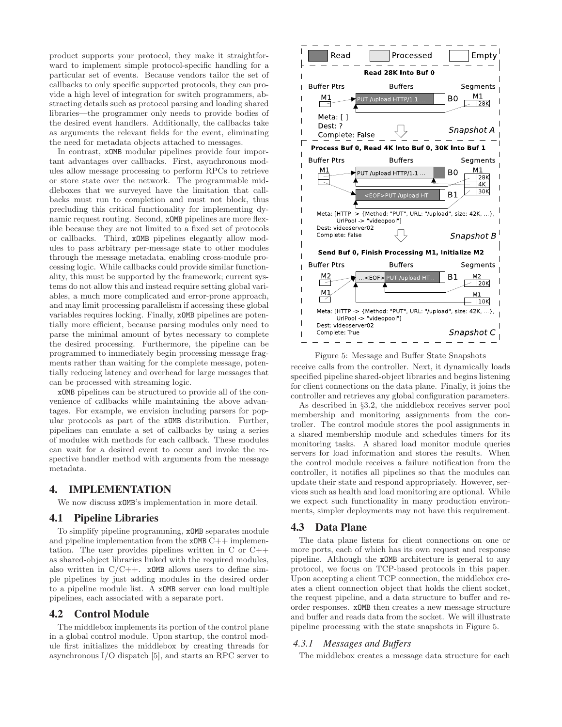product supports your protocol, they make it straightforward to implement simple protocol-specific handling for a particular set of events. Because vendors tailor the set of callbacks to only specific supported protocols, they can provide a high level of integration for switch programmers, abstracting details such as protocol parsing and loading shared libraries—the programmer only needs to provide bodies of the desired event handlers. Additionally, the callbacks take as arguments the relevant fields for the event, eliminating the need for metadata objects attached to messages.

In contrast, xOMB modular pipelines provide four important advantages over callbacks. First, asynchronous modules allow message processing to perform RPCs to retrieve or store state over the network. The programmable middleboxes that we surveyed have the limitation that callbacks must run to completion and must not block, thus precluding this critical functionality for implementing dynamic request routing. Second, xOMB pipelines are more flexible because they are not limited to a fixed set of protocols or callbacks. Third, xOMB pipelines elegantly allow modules to pass arbitrary per-message state to other modules through the message metadata, enabling cross-module processing logic. While callbacks could provide similar functionality, this must be supported by the framework; current systems do not allow this and instead require setting global variables, a much more complicated and error-prone approach, and may limit processing parallelism if accessing these global variables requires locking. Finally, xOMB pipelines are potentially more efficient, because parsing modules only need to parse the minimal amount of bytes necessary to complete the desired processing. Furthermore, the pipeline can be programmed to immediately begin processing message fragments rather than waiting for the complete message, potentially reducing latency and overhead for large messages that can be processed with streaming logic.

xOMB pipelines can be structured to provide all of the convenience of callbacks while maintaining the above advantages. For example, we envision including parsers for popular protocols as part of the xOMB distribution. Further, pipelines can emulate a set of callbacks by using a series of modules with methods for each callback. These modules can wait for a desired event to occur and invoke the respective handler method with arguments from the message metadata.

# 4. IMPLEMENTATION

We now discuss xOMB's implementation in more detail.

#### 4.1 Pipeline Libraries

To simplify pipeline programming, xOMB separates module and pipeline implementation from the  $x_0$ MB  $C++$  implementation. The user provides pipelines written in C or C++ as shared-object libraries linked with the required modules, also written in  $C/C++$ . **xOMB** allows users to define simple pipelines by just adding modules in the desired order to a pipeline module list. A xOMB server can load multiple pipelines, each associated with a separate port.

#### 4.2 Control Module

The middlebox implements its portion of the control plane in a global control module. Upon startup, the control module first initializes the middlebox by creating threads for asynchronous I/O dispatch [5], and starts an RPC server to



Figure 5: Message and Buffer State Snapshots receive calls from the controller. Next, it dynamically loads specified pipeline shared-object libraries and begins listening for client connections on the data plane. Finally, it joins the controller and retrieves any global configuration parameters.

As described in §3.2, the middlebox receives server pool membership and monitoring assignments from the controller. The control module stores the pool assignments in a shared membership module and schedules timers for its monitoring tasks. A shared load monitor module queries servers for load information and stores the results. When the control module receives a failure notification from the controller, it notifies all pipelines so that the modules can update their state and respond appropriately. However, services such as health and load monitoring are optional. While we expect such functionality in many production environments, simpler deployments may not have this requirement.

#### 4.3 Data Plane

The data plane listens for client connections on one or more ports, each of which has its own request and response pipeline. Although the xOMB architecture is general to any protocol, we focus on TCP-based protocols in this paper. Upon accepting a client TCP connection, the middlebox creates a client connection object that holds the client socket, the request pipeline, and a data structure to buffer and reorder responses. xOMB then creates a new message structure and buffer and reads data from the socket. We will illustrate pipeline processing with the state snapshots in Figure 5.

#### *4.3.1 Messages and Buffers*

The middlebox creates a message data structure for each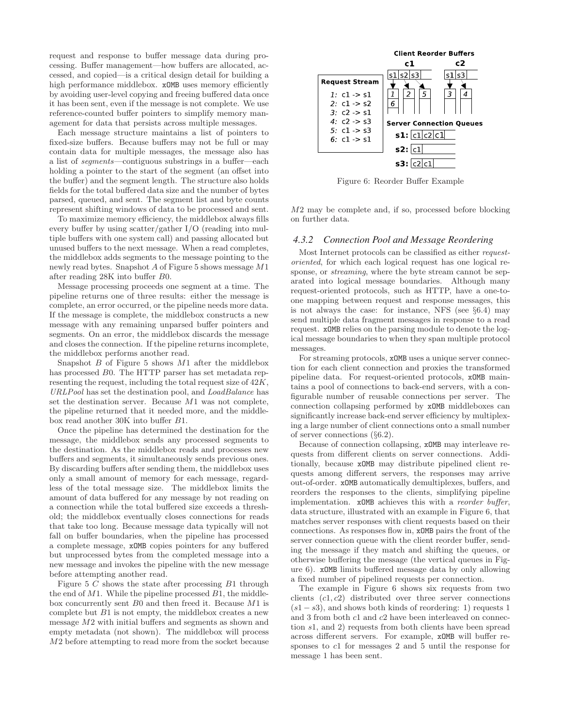request and response to buffer message data during processing. Buffer management—how buffers are allocated, accessed, and copied—is a critical design detail for building a high performance middlebox.  $x0MB$  uses memory efficiently by avoiding user-level copying and freeing buffered data once it has been sent, even if the message is not complete. We use reference-counted buffer pointers to simplify memory management for data that persists across multiple messages.

Each message structure maintains a list of pointers to fixed-size buffers. Because buffers may not be full or may contain data for multiple messages, the message also has a list of segments—contiguous substrings in a buffer—each holding a pointer to the start of the segment (an offset into the buffer) and the segment length. The structure also holds fields for the total buffered data size and the number of bytes parsed, queued, and sent. The segment list and byte counts represent shifting windows of data to be processed and sent.

To maximize memory efficiency, the middlebox always fills every buffer by using scatter/gather I/O (reading into multiple buffers with one system call) and passing allocated but unused buffers to the next message. When a read completes, the middlebox adds segments to the message pointing to the newly read bytes. Snapshot A of Figure 5 shows message M1 after reading 28K into buffer B0.

Message processing proceeds one segment at a time. The pipeline returns one of three results: either the message is complete, an error occurred, or the pipeline needs more data. If the message is complete, the middlebox constructs a new message with any remaining unparsed buffer pointers and segments. On an error, the middlebox discards the message and closes the connection. If the pipeline returns incomplete, the middlebox performs another read.

Snapshot  $B$  of Figure 5 shows  $M1$  after the middlebox has processed B0. The HTTP parser has set metadata representing the request, including the total request size of 42K, URLPool has set the destination pool, and LoadBalance has set the destination server. Because M1 was not complete, the pipeline returned that it needed more, and the middlebox read another 30K into buffer B1.

Once the pipeline has determined the destination for the message, the middlebox sends any processed segments to the destination. As the middlebox reads and processes new buffers and segments, it simultaneously sends previous ones. By discarding buffers after sending them, the middlebox uses only a small amount of memory for each message, regardless of the total message size. The middlebox limits the amount of data buffered for any message by not reading on a connection while the total buffered size exceeds a threshold; the middlebox eventually closes connections for reads that take too long. Because message data typically will not fall on buffer boundaries, when the pipeline has processed a complete message, xOMB copies pointers for any buffered but unprocessed bytes from the completed message into a new message and invokes the pipeline with the new message before attempting another read.

Figure 5  $C$  shows the state after processing  $B1$  through the end of  $M1$ . While the pipeline processed  $B1$ , the middlebox concurrently sent B0 and then freed it. Because M1 is complete but  $B1$  is not empty, the middlebox creates a new message M2 with initial buffers and segments as shown and empty metadata (not shown). The middlebox will process M2 before attempting to read more from the socket because



Figure 6: Reorder Buffer Example

M2 may be complete and, if so, processed before blocking on further data.

#### *4.3.2 Connection Pool and Message Reordering*

Most Internet protocols can be classified as either requestoriented, for which each logical request has one logical response, or streaming, where the byte stream cannot be separated into logical message boundaries. Although many request-oriented protocols, such as HTTP, have a one-toone mapping between request and response messages, this is not always the case: for instance, NFS (see §6.4) may send multiple data fragment messages in response to a read request. xOMB relies on the parsing module to denote the logical message boundaries to when they span multiple protocol messages.

For streaming protocols, xOMB uses a unique server connection for each client connection and proxies the transformed pipeline data. For request-oriented protocols, xOMB maintains a pool of connections to back-end servers, with a configurable number of reusable connections per server. The connection collapsing performed by xOMB middleboxes can significantly increase back-end server efficiency by multiplexing a large number of client connections onto a small number of server connections (§6.2).

Because of connection collapsing, xOMB may interleave requests from different clients on server connections. Additionally, because xOMB may distribute pipelined client requests among different servers, the responses may arrive out-of-order. xOMB automatically demultiplexes, buffers, and reorders the responses to the clients, simplifying pipeline implementation. xOMB achieves this with a reorder buffer, data structure, illustrated with an example in Figure 6, that matches server responses with client requests based on their connections. As responses flow in, xOMB pairs the front of the server connection queue with the client reorder buffer, sending the message if they match and shifting the queues, or otherwise buffering the message (the vertical queues in Figure 6). xOMB limits buffered message data by only allowing a fixed number of pipelined requests per connection.

The example in Figure 6 shows six requests from two clients  $(c1, c2)$  distributed over three server connections  $(s1-s3)$ , and shows both kinds of reordering: 1) requests 1 and 3 from both c1 and c2 have been interleaved on connection s1, and 2) requests from both clients have been spread across different servers. For example, xOMB will buffer responses to c1 for messages 2 and 5 until the response for message 1 has been sent.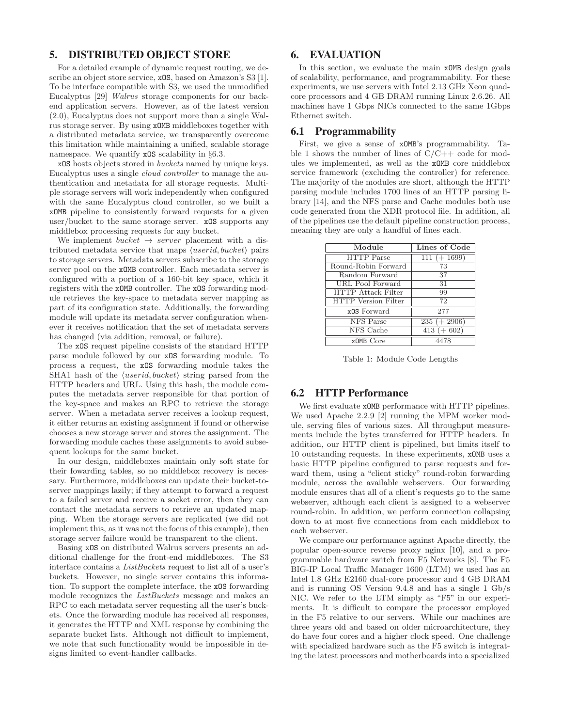# 5. DISTRIBUTED OBJECT STORE

For a detailed example of dynamic request routing, we describe an object store service,  $xOS$ , based on Amazon's S3 [1]. To be interface compatible with S3, we used the unmodified Eucalyptus [29] Walrus storage components for our backend application servers. However, as of the latest version (2.0), Eucalyptus does not support more than a single Walrus storage server. By using xOMB middleboxes together with a distributed metadata service, we transparently overcome this limitation while maintaining a unified, scalable storage namespace. We quantify **xOS** scalability in §6.3.

xOS hosts objects stored in buckets named by unique keys. Eucalyptus uses a single cloud controller to manage the authentication and metadata for all storage requests. Multiple storage servers will work independently when configured with the same Eucalyptus cloud controller, so we built a xOMB pipeline to consistently forward requests for a given user/bucket to the same storage server. xOS supports any middlebox processing requests for any bucket.

We implement bucket  $\rightarrow$  server placement with a distributed metadata service that maps  $\langle userid, bucket \rangle$  pairs to storage servers. Metadata servers subscribe to the storage server pool on the xOMB controller. Each metadata server is configured with a portion of a 160-bit key space, which it registers with the xOMB controller. The xOS forwarding module retrieves the key-space to metadata server mapping as part of its configuration state. Additionally, the forwarding module will update its metadata server configuration whenever it receives notification that the set of metadata servers has changed (via addition, removal, or failure).

The xOS request pipeline consists of the standard HTTP parse module followed by our xOS forwarding module. To process a request, the xOS forwarding module takes the SHA1 hash of the  $\langle userid, bucket \rangle$  string parsed from the HTTP headers and URL. Using this hash, the module computes the metadata server responsible for that portion of the key-space and makes an RPC to retrieve the storage server. When a metadata server receives a lookup request, it either returns an existing assignment if found or otherwise chooses a new storage server and stores the assignment. The forwarding module caches these assignments to avoid subsequent lookups for the same bucket.

In our design, middleboxes maintain only soft state for their fowarding tables, so no middlebox recovery is necessary. Furthermore, middleboxes can update their bucket-toserver mappings lazily; if they attempt to forward a request to a failed server and receive a socket error, then they can contact the metadata servers to retrieve an updated mapping. When the storage servers are replicated (we did not implement this, as it was not the focus of this example), then storage server failure would be transparent to the client.

Basing xOS on distributed Walrus servers presents an additional challenge for the front-end middleboxes. The S3 interface contains a ListBuckets request to list all of a user's buckets. However, no single server contains this information. To support the complete interface, the xOS forwarding module recognizes the ListBuckets message and makes an RPC to each metadata server requesting all the user's buckets. Once the forwarding module has received all responses, it generates the HTTP and XML response by combining the separate bucket lists. Although not difficult to implement, we note that such functionality would be impossible in designs limited to event-handler callbacks.

# 6. EVALUATION

In this section, we evaluate the main xOMB design goals of scalability, performance, and programmability. For these experiments, we use servers with Intel 2.13 GHz Xeon quadcore processors and 4 GB DRAM running Linux 2.6.26. All machines have 1 Gbps NICs connected to the same 1Gbps Ethernet switch.

# 6.1 Programmability

First, we give a sense of xOMB's programmability. Table 1 shows the number of lines of  $C/C++$  code for modules we implemented, as well as the xOMB core middlebox service framework (excluding the controller) for reference. The majority of the modules are short, although the HTTP parsing module includes 1700 lines of an HTTP parsing library [14], and the NFS parse and Cache modules both use code generated from the XDR protocol file. In addition, all of the pipelines use the default pipeline construction process, meaning they are only a handful of lines each.

| Module                     | Lines of Code  |  |
|----------------------------|----------------|--|
| <b>HTTP</b> Parse          | $111 (+ 1699)$ |  |
| Round-Robin Forward        | 73             |  |
| Random Forward             | 37             |  |
| <b>URL Pool Forward</b>    | 31             |  |
| <b>HTTP</b> Attack Filter  | 99             |  |
| <b>HTTP</b> Version Filter | 72             |  |
| x0S Forward                | 277            |  |
| <b>NFS</b> Parse           | $235 (+ 2906)$ |  |
| NFS Cache                  | $413 (+ 602)$  |  |
| xOMB Core                  | 4478           |  |

Table 1: Module Code Lengths

# 6.2 HTTP Performance

We first evaluate  $x0MB$  performance with HTTP pipelines. We used Apache 2.2.9 [2] running the MPM worker module, serving files of various sizes. All throughput measurements include the bytes transferred for HTTP headers. In addition, our HTTP client is pipelined, but limits itself to 10 outstanding requests. In these experiments, xOMB uses a basic HTTP pipeline configured to parse requests and forward them, using a "client sticky" round-robin forwarding module, across the available webservers. Our forwarding module ensures that all of a client's requests go to the same webserver, although each client is assigned to a webserver round-robin. In addition, we perform connection collapsing down to at most five connections from each middlebox to each webserver.

We compare our performance against Apache directly, the popular open-source reverse proxy nginx [10], and a programmable hardware switch from F5 Networks [8]. The F5 BIG-IP Local Traffic Manager 1600 (LTM) we used has an Intel 1.8 GHz E2160 dual-core processor and 4 GB DRAM and is running OS Version 9.4.8 and has a single 1 Gb/s NIC. We refer to the LTM simply as "F5" in our experiments. It is difficult to compare the processor employed in the F5 relative to our servers. While our machines are three years old and based on older microarchitecture, they do have four cores and a higher clock speed. One challenge with specialized hardware such as the F5 switch is integrating the latest processors and motherboards into a specialized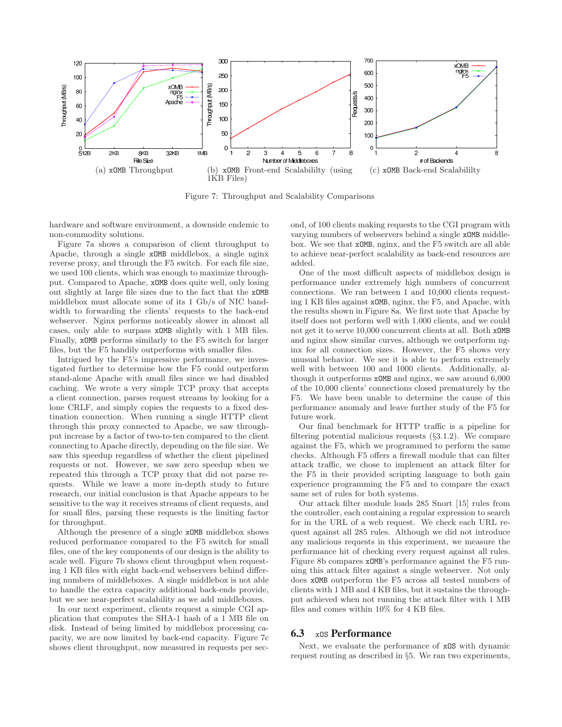

Figure 7: Throughput and Scalability Comparisons

hardware and software environment, a downside endemic to non-commodity solutions.

Figure 7a shows a comparison of client throughput to Apache, through a single xOMB middlebox, a single nginx reverse proxy, and through the F5 switch. For each file size, we used 100 clients, which was enough to maximize throughput. Compared to Apache, xOMB does quite well, only losing out slightly at large file sizes due to the fact that the xOMB middlebox must allocate some of its 1 Gb/s of NIC bandwidth to forwarding the clients' requests to the back-end webserver. Nginx performs noticeably slower in almost all cases, only able to surpass xOMB slightly with 1 MB files. Finally, xOMB performs similarly to the F5 switch for larger files, but the F5 handily outperforms with smaller files.

Intrigued by the F5's impressive performance, we investigated further to determine how the F5 could outperform stand-alone Apache with small files since we had disabled caching. We wrote a very simple TCP proxy that accepts a client connection, parses request streams by looking for a lone CRLF, and simply copies the requests to a fixed destination connection. When running a single HTTP client through this proxy connected to Apache, we saw throughput increase by a factor of two-to-ten compared to the client connecting to Apache directly, depending on the file size. We saw this speedup regardless of whether the client pipelined requests or not. However, we saw zero speedup when we repeated this through a TCP proxy that did not parse requests. While we leave a more in-depth study to future research, our initial conclusion is that Apache appears to be sensitive to the way it receives streams of client requests, and for small files, parsing these requests is the limiting factor for throughput.

Although the presence of a single xOMB middlebox shows reduced performance compared to the F5 switch for small files, one of the key components of our design is the ability to scale well. Figure 7b shows client throughput when requesting 1 KB files with eight back-end webservers behind differing numbers of middleboxes. A single middlebox is not able to handle the extra capacity additional back-ends provide, but we see near-perfect scalability as we add middleboxes.

In our next experiment, clients request a simple CGI application that computes the SHA-1 hash of a 1 MB file on disk. Instead of being limited by middlebox processing capacity, we are now limited by back-end capacity. Figure 7c shows client throughput, now measured in requests per second, of 100 clients making requests to the CGI program with varying numbers of webservers behind a single xOMB middlebox. We see that xOMB, nginx, and the F5 switch are all able to achieve near-perfect scalability as back-end resources are added.

One of the most difficult aspects of middlebox design is performance under extremely high numbers of concurrent connections. We ran between 1 and 10,000 clients requesting 1 KB files against xOMB, nginx, the F5, and Apache, with the results shown in Figure 8a. We first note that Apache by itself does not perform well with 1,000 clients, and we could not get it to serve 10,000 concurrent clients at all. Both xOMB and nginx show similar curves, although we outperform nginx for all connection sizes. However, the F5 shows very unusual behavior. We see it is able to perform extremely well with between 100 and 1000 clients. Additionally, although it outperforms xOMB and nginx, we saw around 6,000 of the 10,000 clients' connections closed prematurely by the F5. We have been unable to determine the cause of this performance anomaly and leave further study of the F5 for future work.

Our final benchmark for HTTP traffic is a pipeline for filtering potential malicious requests (§3.1.2). We compare against the F5, which we programmed to perform the same checks. Although F5 offers a firewall module that can filter attack traffic, we chose to implement an attack filter for the F5 in their provided scripting language to both gain experience programming the F5 and to compare the exact same set of rules for both systems.

Our attack filter module loads 285 Snort [15] rules from the controller, each containing a regular expression to search for in the URL of a web request. We check each URL request against all 285 rules. Although we did not introduce any malicious requests in this experiment, we measure the performance hit of checking every request against all rules. Figure 8b compares xOMB's performance against the F5 running this attack filter against a single webserver. Not only does xOMB outperform the F5 across all tested numbers of clients with 1 MB and 4 KB files, but it sustains the throughput achieved when not running the attack filter with 1 MB files and comes within 10% for 4 KB files.

#### 6.3 xOS Performance

Next, we evaluate the performance of xOS with dynamic request routing as described in §5. We ran two experiments,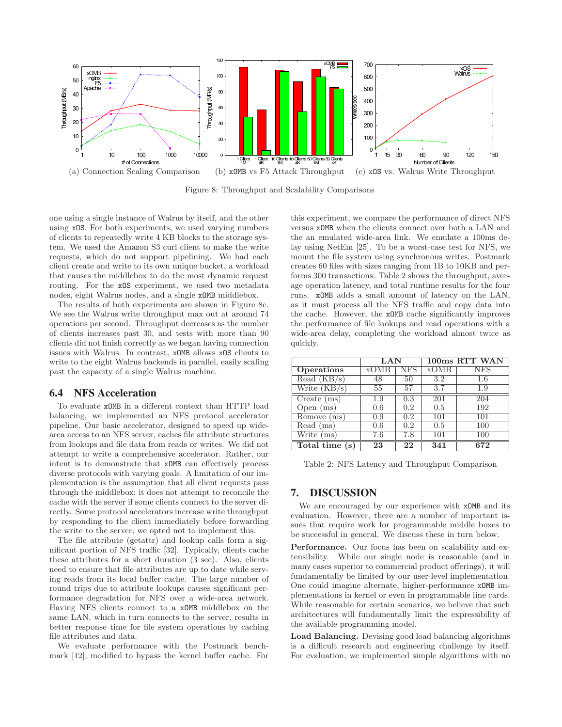

Figure 8: Throughput and Scalability Comparisons

one using a single instance of Walrus by itself, and the other using xOS. For both experiments, we used varying numbers of clients to repeatedly write 4 KB blocks to the storage system. We used the Amazon S3 curl client to make the write requests, which do not support pipelining. We had each client create and write to its own unique bucket, a workload that causes the middlebox to do the most dynamic request routing. For the xOS experiment, we used two metadata nodes, eight Walrus nodes, and a single xOMB middlebox.

The results of both experiments are shown in Figure 8c. We see the Walrus write throughput max out at around 74 operations per second. Throughput decreases as the number of clients increases past 30, and tests with more than 90 clients did not finish correctly as we began having connection issues with Walrus. In contrast, xOMB allows xOS clients to write to the eight Walrus backends in parallel, easily scaling past the capacity of a single Walrus machine.

# 6.4 NFS Acceleration

To evaluate xOMB in a different context than HTTP load balancing, we implemented an NFS protocol accelerator pipeline. Our basic accelerator, designed to speed up widearea access to an NFS server, caches file attribute structures from lookups and file data from reads or writes. We did not attempt to write a comprehensive accelerator. Rather, our intent is to demonstrate that xOMB can effectively process diverse protocols with varying goals. A limitation of our implementation is the assumption that all client requests pass through the middlebox; it does not attempt to reconcile the cache with the server if some clients connect to the server directly. Some protocol accelerators increase write throughput by responding to the client immediately before forwarding the write to the server; we opted not to implement this.

The file attribute (getattr) and lookup calls form a significant portion of NFS traffic [32]. Typically, clients cache these attributes for a short duration (3 sec). Also, clients need to ensure that file attributes are up to date while serving reads from its local buffer cache. The large number of round trips due to attribute lookups causes significant performance degradation for NFS over a wide-area network. Having NFS clients connect to a xOMB middlebox on the same LAN, which in turn connects to the server, results in better response time for file system operations by caching file attributes and data.

We evaluate performance with the Postmark benchmark [12], modified to bypass the kernel buffer cache. For this experiment, we compare the performance of direct NFS versus xOMB when the clients connect over both a LAN and the an emulated wide-area link. We emulate a 100ms delay using NetEm [25]. To be a worst-case test for NFS, we mount the file system using synchronous writes. Postmark creates 60 files with sizes ranging from 1B to 10KB and performs 300 transactions. Table 2 shows the throughput, average operation latency, and total runtime results for the four runs. xOMB adds a small amount of latency on the LAN, as it must process all the NFS traffic and copy data into the cache. However, the xOMB cache significantly improves the performance of file lookups and read operations with a wide-area delay, completing the workload almost twice as quickly.

|                                 | LAN  |                  | 100ms RTT WAN |     |
|---------------------------------|------|------------------|---------------|-----|
| <b>Operations</b>               | xOMB | NFS              | xOMB          | NFS |
| Read (KB/s)                     | 48   | 50               | $3.2\,$       | 1.6 |
| Write $(KB/s)$                  | 55   | 57               | 3.7           | 1.9 |
| Create (ms)                     | 1.9  | 0.3              | 201           | 204 |
| Open $(ms)$                     | 0.6  | $\overline{0.2}$ | 0.5           | 192 |
| $\overline{\text{Remove}}$ (ms) | 0.9  | 0.2              | 101           | 101 |
| Read (ms)                       | 0.6  | 0.2              | 0.5           | 100 |
| Write<br>(ms)                   | 7.6  | 7.8              | 101           | 100 |
| Total time<br>s                 | 23   | 22               | 341           | 672 |

Table 2: NFS Latency and Throughput Comparison

## 7. DISCUSSION

We are encouraged by our experience with  $x$ OMB and its evaluation. However, there are a number of important issues that require work for programmable middle boxes to be successful in general. We discuss these in turn below.

Performance. Our focus has been on scalability and extensibility. While our single node is reasonable (and in many cases superior to commercial product offerings), it will fundamentally be limited by our user-level implementation. One could imagine alternate, higher-performance xOMB implementations in kernel or even in programmable line cards. While reasonable for certain scenarios, we believe that such architectures will fundamentally limit the expressibility of the available programming model.

Load Balancing. Devising good load balancing algorithms is a difficult research and engineering challenge by itself. For evaluation, we implemented simple algorithms with no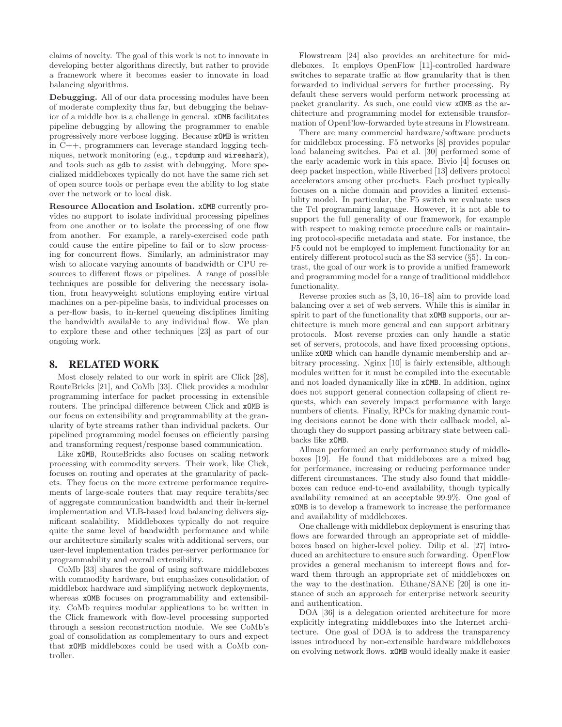claims of novelty. The goal of this work is not to innovate in developing better algorithms directly, but rather to provide a framework where it becomes easier to innovate in load balancing algorithms.

Debugging. All of our data processing modules have been of moderate complexity thus far, but debugging the behavior of a middle box is a challenge in general. xOMB facilitates pipeline debugging by allowing the programmer to enable progressively more verbose logging. Because xOMB is written in C++, programmers can leverage standard logging techniques, network monitoring (e.g., tcpdump and wireshark), and tools such as gdb to assist with debugging. More specialized middleboxes typically do not have the same rich set of open source tools or perhaps even the ability to log state over the network or to local disk.

Resource Allocation and Isolation. xOMB currently provides no support to isolate individual processing pipelines from one another or to isolate the processing of one flow from another. For example, a rarely-exercised code path could cause the entire pipeline to fail or to slow processing for concurrent flows. Similarly, an administrator may wish to allocate varying amounts of bandwidth or CPU resources to different flows or pipelines. A range of possible techniques are possible for delivering the necessary isolation, from heavyweight solutions employing entire virtual machines on a per-pipeline basis, to individual processes on a per-flow basis, to in-kernel queueing disciplines limiting the bandwidth available to any individual flow. We plan to explore these and other techniques [23] as part of our ongoing work.

# 8. RELATED WORK

Most closely related to our work in spirit are Click [28], RouteBricks [21], and CoMb [33]. Click provides a modular programming interface for packet processing in extensible routers. The principal difference between Click and xOMB is our focus on extensibility and programmability at the granularity of byte streams rather than individual packets. Our pipelined programming model focuses on efficiently parsing and transforming request/response based communication.

Like xOMB, RouteBricks also focuses on scaling network processing with commodity servers. Their work, like Click, focuses on routing and operates at the granularity of packets. They focus on the more extreme performance requirements of large-scale routers that may require terabits/sec of aggregate communication bandwidth and their in-kernel implementation and VLB-based load balancing delivers significant scalability. Middleboxes typically do not require quite the same level of bandwidth performance and while our architecture similarly scales with additional servers, our user-level implementation trades per-server performance for programmability and overall extensibility.

CoMb [33] shares the goal of using software middleboxes with commodity hardware, but emphasizes consolidation of middlebox hardware and simplifying network deployments, whereas  $x$ <sup>OMB</sup> focuses on programmability and extensibility. CoMb requires modular applications to be written in the Click framework with flow-level processing supported through a session reconstruction module. We see CoMb's goal of consolidation as complementary to ours and expect that xOMB middleboxes could be used with a CoMb controller.

Flowstream [24] also provides an architecture for middleboxes. It employs OpenFlow [11]-controlled hardware switches to separate traffic at flow granularity that is then forwarded to individual servers for further processing. By default these servers would perform network processing at packet granularity. As such, one could view xOMB as the architecture and programming model for extensible transformation of OpenFlow-forwarded byte streams in Flowstream.

There are many commercial hardware/software products for middlebox processing. F5 networks [8] provides popular load balancing switches. Pai et al. [30] performed some of the early academic work in this space. Bivio [4] focuses on deep packet inspection, while Riverbed [13] delivers protocol accelerators among other products. Each product typically focuses on a niche domain and provides a limited extensibility model. In particular, the F5 switch we evaluate uses the Tcl programming language. However, it is not able to support the full generality of our framework, for example with respect to making remote procedure calls or maintaining protocol-specific metadata and state. For instance, the F5 could not be employed to implement functionality for an entirely different protocol such as the S3 service (§5). In contrast, the goal of our work is to provide a unified framework and programming model for a range of traditional middlebox functionality.

Reverse proxies such as [3, 10, 16–18] aim to provide load balancing over a set of web servers. While this is similar in spirit to part of the functionality that xOMB supports, our architecture is much more general and can support arbitrary protocols. Most reverse proxies can only handle a static set of servers, protocols, and have fixed processing options, unlike xOMB which can handle dynamic membership and arbitrary processing. Nginx [10] is fairly extensible, although modules written for it must be compiled into the executable and not loaded dynamically like in xOMB. In addition, nginx does not support general connection collapsing of client requests, which can severely impact performance with large numbers of clients. Finally, RPCs for making dynamic routing decisions cannot be done with their callback model, although they do support passing arbitrary state between callbacks like xOMB.

Allman performed an early performance study of middleboxes [19]. He found that middleboxes are a mixed bag for performance, increasing or reducing performance under different circumstances. The study also found that middleboxes can reduce end-to-end availability, though typically availability remained at an acceptable 99.9%. One goal of xOMB is to develop a framework to increase the performance and availability of middleboxes.

One challenge with middlebox deployment is ensuring that flows are forwarded through an appropriate set of middleboxes based on higher-level policy. Dilip et al. [27] introduced an architecture to ensure such forwarding. OpenFlow provides a general mechanism to intercept flows and forward them through an appropriate set of middleboxes on the way to the destination. Ethane/SANE [20] is one instance of such an approach for enterprise network security and authentication.

DOA [36] is a delegation oriented architecture for more explicitly integrating middleboxes into the Internet architecture. One goal of DOA is to address the transparency issues introduced by non-extensible hardware middleboxes on evolving network flows. xOMB would ideally make it easier